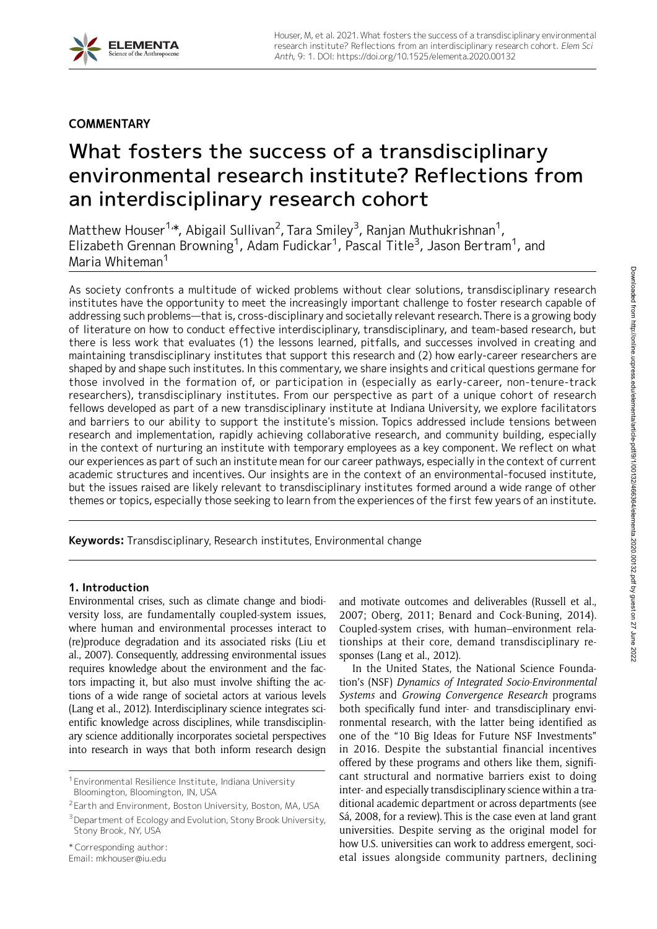# **COMMENTARY**

# What fosters the success of a transdisciplinary environmental research institute? Reflections from an interdisciplinary research cohort

Matthew Houser $^{1,\ast}$ , Abigail Sullivan $^2$ , Tara Smiley $^3$ , Ranjan Muthukrishnan $^1$ , Elizabeth Grennan Browning<sup>1</sup>, Adam Fudickar<sup>1</sup>, Pascal Title<sup>3</sup>, Jason Bertram<sup>1</sup>, and Maria Whiteman<sup>1</sup>

As society confronts a multitude of wicked problems without clear solutions, transdisciplinary research institutes have the opportunity to meet the increasingly important challenge to foster research capable of addressing such problems—that is, cross-disciplinary and societally relevant research.There is a growing body of literature on how to conduct effective interdisciplinary, transdisciplinary, and team-based research, but there is less work that evaluates (1) the lessons learned, pitfalls, and successes involved in creating and maintaining transdisciplinary institutes that support this research and (2) how early-career researchers are shaped by and shape such institutes. In this commentary, we share insights and critical questions germane for those involved in the formation of, or participation in (especially as early-career, non-tenure-track researchers), transdisciplinary institutes. From our perspective as part of a unique cohort of research fellows developed as part of a new transdisciplinary institute at Indiana University, we explore facilitators and barriers to our ability to support the institute's mission. Topics addressed include tensions between research and implementation, rapidly achieving collaborative research, and community building, especially in the context of nurturing an institute with temporary employees as a key component. We reflect on what our experiences as part of such an institute mean for our career pathways, especially in the context of current academic structures and incentives. Our insights are in the context of an environmental-focused institute, but the issues raised are likely relevant to transdisciplinary institutes formed around a wide range of other themes or topics, especially those seeking to learn from the experiences of the first few years of an institute.

Keywords: Transdisciplinary, Research institutes, Environmental change

# 1. Introduction

Environmental crises, such as climate change and biodiversity loss, are fundamentally coupled-system issues, where human and environmental processes interact to (re)produce degradation and its associated risks (Liu et al., 2007). Consequently, addressing environmental issues requires knowledge about the environment and the factors impacting it, but also must involve shifting the actions of a wide range of societal actors at various levels (Lang et al., 2012). Interdisciplinary science integrates scientific knowledge across disciplines, while transdisciplinary science additionally incorporates societal perspectives into research in ways that both inform research design

\* Corresponding author:

Email: mkhouser@iu.edu

and motivate outcomes and deliverables (Russell et al., 2007; Oberg, 2011; Benard and Cock-Buning, 2014). Coupled-system crises, with human–environment relationships at their core, demand transdisciplinary responses (Lang et al., 2012).

In the United States, the National Science Foundation's (NSF) Dynamics of Integrated Socio-Environmental Systems and Growing Convergence Research programs both specifically fund inter- and transdisciplinary environmental research, with the latter being identified as one of the "10 Big Ideas for Future NSF Investments" in 2016. Despite the substantial financial incentives offered by these programs and others like them, significant structural and normative barriers exist to doing inter- and especially transdisciplinary science within a traditional academic department or across departments (see Sá, 2008, for a review). This is the case even at land grant universities. Despite serving as the original model for how U.S. universities can work to address emergent, societal issues alongside community partners, declining

<sup>&</sup>lt;sup>1</sup> Environmental Resilience Institute, Indiana University Bloomington, Bloomington, IN, USA

<sup>2</sup> Earth and Environment, Boston University, Boston, MA, USA

<sup>&</sup>lt;sup>3</sup> Department of Ecology and Evolution, Stony Brook University, Stony Brook, NY, USA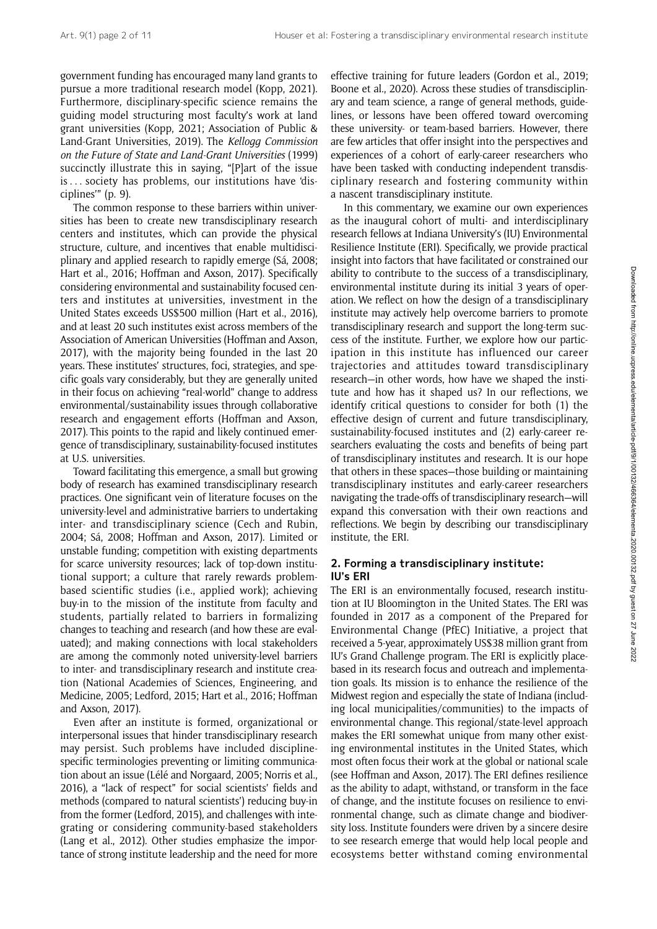government funding has encouraged many land grants to pursue a more traditional research model (Kopp, 2021). Furthermore, disciplinary-specific science remains the guiding model structuring most faculty's work at land grant universities (Kopp, 2021; Association of Public & Land-Grant Universities, 2019). The Kellogg Commission on the Future of State and Land-Grant Universities (1999) succinctly illustrate this in saying, "[P]art of the issue is ... society has problems, our institutions have 'disciplines'" (p. 9).

The common response to these barriers within universities has been to create new transdisciplinary research centers and institutes, which can provide the physical structure, culture, and incentives that enable multidisciplinary and applied research to rapidly emerge (Sá, 2008; Hart et al., 2016; Hoffman and Axson, 2017). Specifically considering environmental and sustainability focused centers and institutes at universities, investment in the United States exceeds US\$500 million (Hart et al., 2016), and at least 20 such institutes exist across members of the Association of American Universities (Hoffman and Axson, 2017), with the majority being founded in the last 20 years. These institutes' structures, foci, strategies, and specific goals vary considerably, but they are generally united in their focus on achieving "real-world" change to address environmental/sustainability issues through collaborative research and engagement efforts (Hoffman and Axson, 2017). This points to the rapid and likely continued emergence of transdisciplinary, sustainability-focused institutes at U.S. universities.

Toward facilitating this emergence, a small but growing body of research has examined transdisciplinary research practices. One significant vein of literature focuses on the university-level and administrative barriers to undertaking inter- and transdisciplinary science (Cech and Rubin, 2004; Sá, 2008; Hoffman and Axson, 2017). Limited or unstable funding; competition with existing departments for scarce university resources; lack of top-down institutional support; a culture that rarely rewards problembased scientific studies (i.e., applied work); achieving buy-in to the mission of the institute from faculty and students, partially related to barriers in formalizing changes to teaching and research (and how these are evaluated); and making connections with local stakeholders are among the commonly noted university-level barriers to inter- and transdisciplinary research and institute creation (National Academies of Sciences, Engineering, and Medicine, 2005; Ledford, 2015; Hart et al., 2016; Hoffman and Axson, 2017).

Even after an institute is formed, organizational or interpersonal issues that hinder transdisciplinary research may persist. Such problems have included disciplinespecific terminologies preventing or limiting communication about an issue (Lélé and Norgaard, 2005; Norris et al., 2016), a "lack of respect" for social scientists' fields and methods (compared to natural scientists') reducing buy-in from the former (Ledford, 2015), and challenges with integrating or considering community-based stakeholders (Lang et al., 2012). Other studies emphasize the importance of strong institute leadership and the need for more

effective training for future leaders (Gordon et al., 2019; Boone et al., 2020). Across these studies of transdisciplinary and team science, a range of general methods, guidelines, or lessons have been offered toward overcoming these university- or team-based barriers. However, there are few articles that offer insight into the perspectives and experiences of a cohort of early-career researchers who have been tasked with conducting independent transdisciplinary research and fostering community within a nascent transdisciplinary institute.

In this commentary, we examine our own experiences as the inaugural cohort of multi- and interdisciplinary research fellows at Indiana University's (IU) Environmental Resilience Institute (ERI). Specifically, we provide practical insight into factors that have facilitated or constrained our ability to contribute to the success of a transdisciplinary, environmental institute during its initial 3 years of operation. We reflect on how the design of a transdisciplinary institute may actively help overcome barriers to promote transdisciplinary research and support the long-term success of the institute. Further, we explore how our participation in this institute has influenced our career trajectories and attitudes toward transdisciplinary research—in other words, how have we shaped the institute and how has it shaped us? In our reflections, we identify critical questions to consider for both (1) the effective design of current and future transdisciplinary, sustainability-focused institutes and (2) early-career researchers evaluating the costs and benefits of being part of transdisciplinary institutes and research. It is our hope that others in these spaces—those building or maintaining transdisciplinary institutes and early-career researchers navigating the trade-offs of transdisciplinary research—will expand this conversation with their own reactions and reflections. We begin by describing our transdisciplinary institute, the ERI.

### 2. Forming a transdisciplinary institute: IU's ERI

The ERI is an environmentally focused, research institution at IU Bloomington in the United States. The ERI was founded in 2017 as a component of the Prepared for Environmental Change (PfEC) Initiative, a project that received a 5-year, approximately US\$38 million grant from IU's Grand Challenge program. The ERI is explicitly placebased in its research focus and outreach and implementation goals. Its mission is to enhance the resilience of the Midwest region and especially the state of Indiana (including local municipalities/communities) to the impacts of environmental change. This regional/state-level approach makes the ERI somewhat unique from many other existing environmental institutes in the United States, which most often focus their work at the global or national scale (see Hoffman and Axson, 2017). The ERI defines resilience as the ability to adapt, withstand, or transform in the face of change, and the institute focuses on resilience to environmental change, such as climate change and biodiversity loss. Institute founders were driven by a sincere desire to see research emerge that would help local people and ecosystems better withstand coming environmental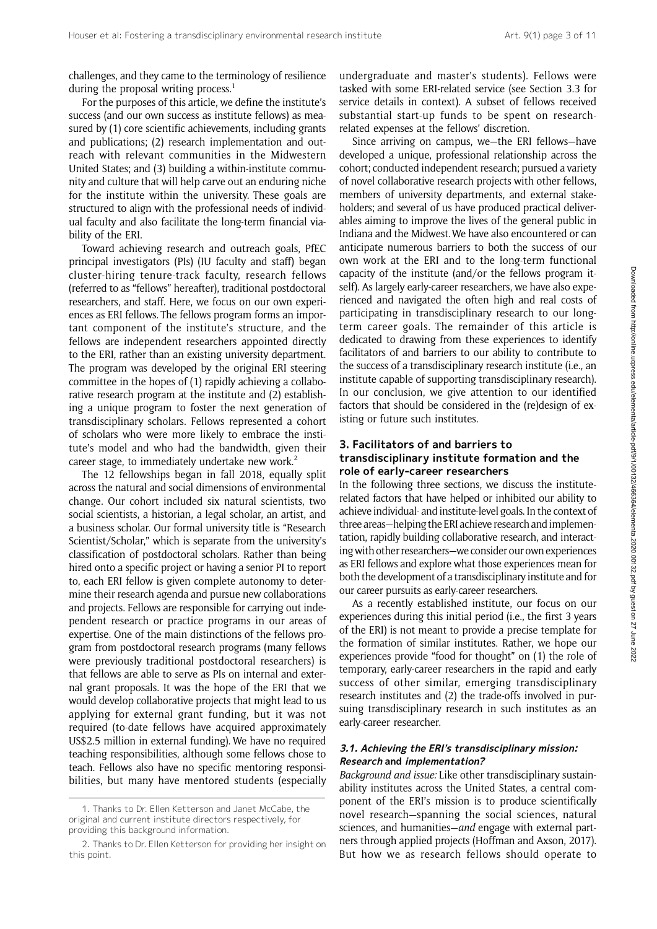challenges, and they came to the terminology of resilience during the proposal writing process.<sup>1</sup>

For the purposes of this article, we define the institute's success (and our own success as institute fellows) as measured by (1) core scientific achievements, including grants and publications; (2) research implementation and outreach with relevant communities in the Midwestern United States; and (3) building a within-institute community and culture that will help carve out an enduring niche for the institute within the university. These goals are structured to align with the professional needs of individual faculty and also facilitate the long-term financial viability of the ERI.

Toward achieving research and outreach goals, PfEC principal investigators (PIs) (IU faculty and staff) began cluster-hiring tenure-track faculty, research fellows (referred to as "fellows" hereafter), traditional postdoctoral researchers, and staff. Here, we focus on our own experiences as ERI fellows. The fellows program forms an important component of the institute's structure, and the fellows are independent researchers appointed directly to the ERI, rather than an existing university department. The program was developed by the original ERI steering committee in the hopes of (1) rapidly achieving a collaborative research program at the institute and (2) establishing a unique program to foster the next generation of transdisciplinary scholars. Fellows represented a cohort of scholars who were more likely to embrace the institute's model and who had the bandwidth, given their career stage, to immediately undertake new work.<sup>2</sup>

The 12 fellowships began in fall 2018, equally split across the natural and social dimensions of environmental change. Our cohort included six natural scientists, two social scientists, a historian, a legal scholar, an artist, and a business scholar. Our formal university title is "Research Scientist/Scholar," which is separate from the university's classification of postdoctoral scholars. Rather than being hired onto a specific project or having a senior PI to report to, each ERI fellow is given complete autonomy to determine their research agenda and pursue new collaborations and projects. Fellows are responsible for carrying out independent research or practice programs in our areas of expertise. One of the main distinctions of the fellows program from postdoctoral research programs (many fellows were previously traditional postdoctoral researchers) is that fellows are able to serve as PIs on internal and external grant proposals. It was the hope of the ERI that we would develop collaborative projects that might lead to us applying for external grant funding, but it was not required (to-date fellows have acquired approximately US\$2.5 million in external funding). We have no required teaching responsibilities, although some fellows chose to teach. Fellows also have no specific mentoring responsibilities, but many have mentored students (especially

undergraduate and master's students). Fellows were tasked with some ERI-related service (see Section 3.3 for service details in context). A subset of fellows received substantial start-up funds to be spent on researchrelated expenses at the fellows' discretion.

Since arriving on campus, we—the ERI fellows—have developed a unique, professional relationship across the cohort; conducted independent research; pursued a variety of novel collaborative research projects with other fellows, members of university departments, and external stakeholders; and several of us have produced practical deliverables aiming to improve the lives of the general public in Indiana and the Midwest.We have also encountered or can anticipate numerous barriers to both the success of our own work at the ERI and to the long-term functional capacity of the institute (and/or the fellows program itself). As largely early-career researchers, we have also experienced and navigated the often high and real costs of participating in transdisciplinary research to our longterm career goals. The remainder of this article is dedicated to drawing from these experiences to identify facilitators of and barriers to our ability to contribute to the success of a transdisciplinary research institute (i.e., an institute capable of supporting transdisciplinary research). In our conclusion, we give attention to our identified factors that should be considered in the (re)design of existing or future such institutes.

#### 3. Facilitators of and barriers to transdisciplinary institute formation and the role of early-career researchers

In the following three sections, we discuss the instituterelated factors that have helped or inhibited our ability to achieve individual- and institute-level goals. In the context of three areas—helping the ERI achieve research and implementation, rapidly building collaborative research, and interacting with other researchers—we consider our own experiences as ERI fellows and explore what those experiences mean for both the development of a transdisciplinary institute and for our career pursuits as early-career researchers.

As a recently established institute, our focus on our experiences during this initial period (i.e., the first 3 years of the ERI) is not meant to provide a precise template for the formation of similar institutes. Rather, we hope our experiences provide "food for thought" on (1) the role of temporary, early-career researchers in the rapid and early success of other similar, emerging transdisciplinary research institutes and (2) the trade-offs involved in pursuing transdisciplinary research in such institutes as an early-career researcher.

#### 3.1. Achieving the ERI'<sup>s</sup> transdisciplinary mission: Research and implementation?

Background and issue: Like other transdisciplinary sustainability institutes across the United States, a central component of the ERI's mission is to produce scientifically novel research—spanning the social sciences, natural sciences, and humanities—and engage with external partners through applied projects (Hoffman and Axson, 2017). But how we as research fellows should operate to

<sup>1.</sup> Thanks to Dr. Ellen Ketterson and Janet McCabe, the original and current institute directors respectively, for providing this background information.

<sup>2.</sup> Thanks to Dr. Ellen Ketterson for providing her insight on this point.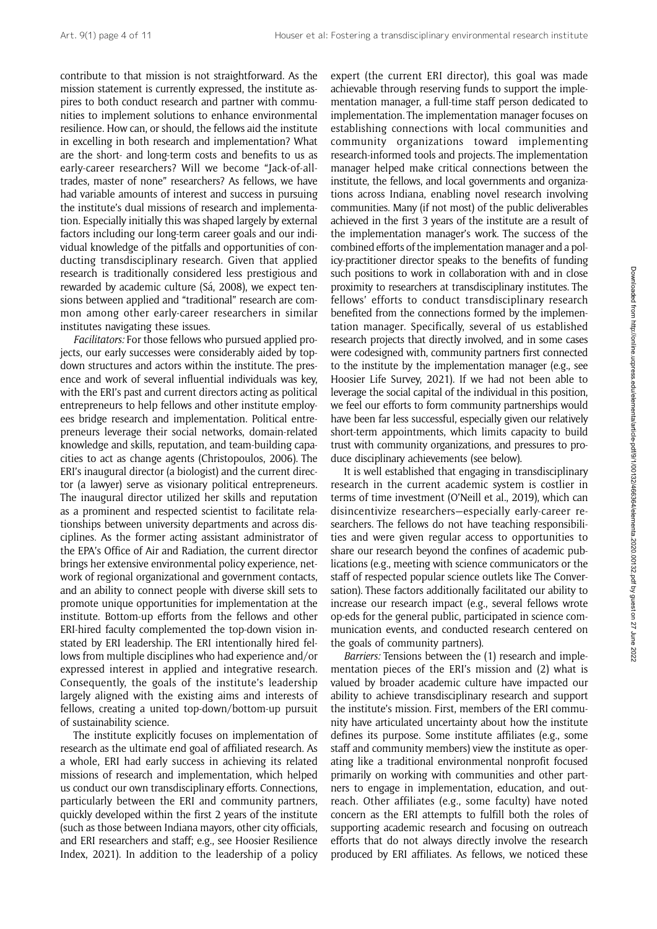contribute to that mission is not straightforward. As the mission statement is currently expressed, the institute aspires to both conduct research and partner with communities to implement solutions to enhance environmental resilience. How can, or should, the fellows aid the institute in excelling in both research and implementation? What are the short- and long-term costs and benefits to us as early-career researchers? Will we become "Jack-of-alltrades, master of none" researchers? As fellows, we have had variable amounts of interest and success in pursuing the institute's dual missions of research and implementation. Especially initially this was shaped largely by external factors including our long-term career goals and our individual knowledge of the pitfalls and opportunities of conducting transdisciplinary research. Given that applied research is traditionally considered less prestigious and rewarded by academic culture (Sá, 2008), we expect tensions between applied and "traditional" research are common among other early-career researchers in similar institutes navigating these issues.

Facilitators: For those fellows who pursued applied projects, our early successes were considerably aided by topdown structures and actors within the institute. The presence and work of several influential individuals was key, with the ERI's past and current directors acting as political entrepreneurs to help fellows and other institute employees bridge research and implementation. Political entrepreneurs leverage their social networks, domain-related knowledge and skills, reputation, and team-building capacities to act as change agents (Christopoulos, 2006). The ERI's inaugural director (a biologist) and the current director (a lawyer) serve as visionary political entrepreneurs. The inaugural director utilized her skills and reputation as a prominent and respected scientist to facilitate relationships between university departments and across disciplines. As the former acting assistant administrator of the EPA's Office of Air and Radiation, the current director brings her extensive environmental policy experience, network of regional organizational and government contacts, and an ability to connect people with diverse skill sets to promote unique opportunities for implementation at the institute. Bottom-up efforts from the fellows and other ERI-hired faculty complemented the top-down vision instated by ERI leadership. The ERI intentionally hired fellows from multiple disciplines who had experience and/or expressed interest in applied and integrative research. Consequently, the goals of the institute's leadership largely aligned with the existing aims and interests of fellows, creating a united top-down/bottom-up pursuit of sustainability science.

The institute explicitly focuses on implementation of research as the ultimate end goal of affiliated research. As a whole, ERI had early success in achieving its related missions of research and implementation, which helped us conduct our own transdisciplinary efforts. Connections, particularly between the ERI and community partners, quickly developed within the first 2 years of the institute (such as those between Indiana mayors, other city officials, and ERI researchers and staff; e.g., see Hoosier Resilience Index, 2021). In addition to the leadership of a policy

expert (the current ERI director), this goal was made achievable through reserving funds to support the implementation manager, a full-time staff person dedicated to implementation. The implementation manager focuses on establishing connections with local communities and community organizations toward implementing research-informed tools and projects. The implementation manager helped make critical connections between the institute, the fellows, and local governments and organizations across Indiana, enabling novel research involving communities. Many (if not most) of the public deliverables achieved in the first 3 years of the institute are a result of the implementation manager's work. The success of the combined efforts of the implementation manager and a policy-practitioner director speaks to the benefits of funding such positions to work in collaboration with and in close proximity to researchers at transdisciplinary institutes. The fellows' efforts to conduct transdisciplinary research benefited from the connections formed by the implementation manager. Specifically, several of us established research projects that directly involved, and in some cases were codesigned with, community partners first connected to the institute by the implementation manager (e.g., see Hoosier Life Survey, 2021). If we had not been able to leverage the social capital of the individual in this position, we feel our efforts to form community partnerships would have been far less successful, especially given our relatively short-term appointments, which limits capacity to build trust with community organizations, and pressures to produce disciplinary achievements (see below).

It is well established that engaging in transdisciplinary research in the current academic system is costlier in terms of time investment (O'Neill et al., 2019), which can disincentivize researchers—especially early-career researchers. The fellows do not have teaching responsibilities and were given regular access to opportunities to share our research beyond the confines of academic publications (e.g., meeting with science communicators or the staff of respected popular science outlets like The Conversation). These factors additionally facilitated our ability to increase our research impact (e.g., several fellows wrote op-eds for the general public, participated in science communication events, and conducted research centered on the goals of community partners).

Barriers: Tensions between the (1) research and implementation pieces of the ERI's mission and (2) what is valued by broader academic culture have impacted our ability to achieve transdisciplinary research and support the institute's mission. First, members of the ERI community have articulated uncertainty about how the institute defines its purpose. Some institute affiliates (e.g., some staff and community members) view the institute as operating like a traditional environmental nonprofit focused primarily on working with communities and other partners to engage in implementation, education, and outreach. Other affiliates (e.g., some faculty) have noted concern as the ERI attempts to fulfill both the roles of supporting academic research and focusing on outreach efforts that do not always directly involve the research produced by ERI affiliates. As fellows, we noticed these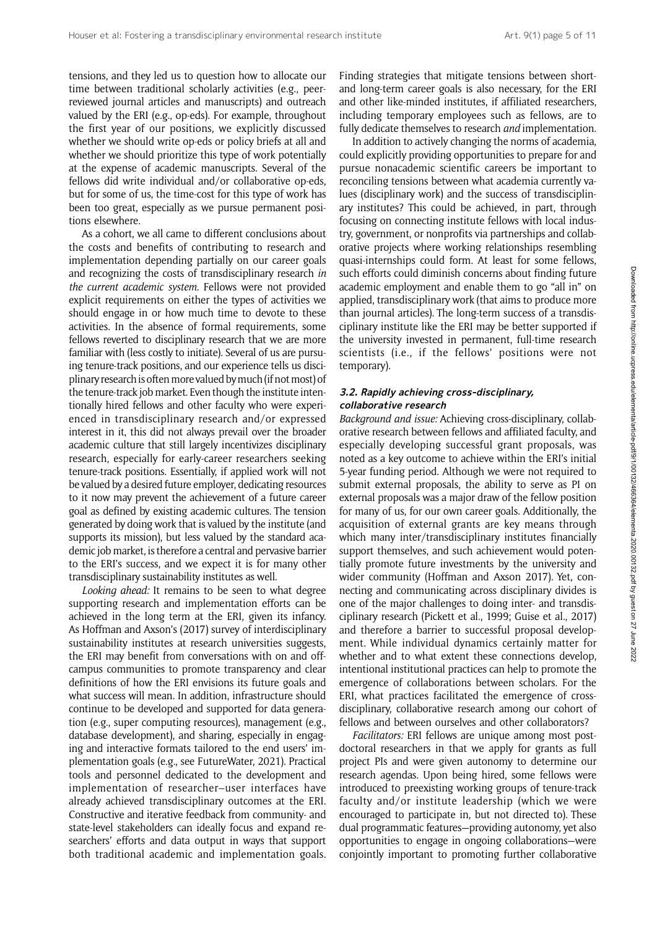tensions, and they led us to question how to allocate our time between traditional scholarly activities (e.g., peerreviewed journal articles and manuscripts) and outreach valued by the ERI (e.g., op-eds). For example, throughout the first year of our positions, we explicitly discussed whether we should write op-eds or policy briefs at all and whether we should prioritize this type of work potentially at the expense of academic manuscripts. Several of the fellows did write individual and/or collaborative op-eds, but for some of us, the time-cost for this type of work has been too great, especially as we pursue permanent positions elsewhere.

As a cohort, we all came to different conclusions about the costs and benefits of contributing to research and implementation depending partially on our career goals and recognizing the costs of transdisciplinary research in the current academic system. Fellows were not provided explicit requirements on either the types of activities we should engage in or how much time to devote to these activities. In the absence of formal requirements, some fellows reverted to disciplinary research that we are more familiar with (less costly to initiate). Several of us are pursuing tenure-track positions, and our experience tells us disciplinary research is often more valued bymuch(if not most) of the tenure-track job market. Even though the institute intentionally hired fellows and other faculty who were experienced in transdisciplinary research and/or expressed interest in it, this did not always prevail over the broader academic culture that still largely incentivizes disciplinary research, especially for early-career researchers seeking tenure-track positions. Essentially, if applied work will not be valued by a desired future employer, dedicating resources to it now may prevent the achievement of a future career goal as defined by existing academic cultures. The tension generated by doing work that is valued by the institute (and supports its mission), but less valued by the standard academic job market, is therefore a central and pervasive barrier to the ERI's success, and we expect it is for many other transdisciplinary sustainability institutes as well.

Looking ahead: It remains to be seen to what degree supporting research and implementation efforts can be achieved in the long term at the ERI, given its infancy. As Hoffman and Axson's (2017) survey of interdisciplinary sustainability institutes at research universities suggests, the ERI may benefit from conversations with on and offcampus communities to promote transparency and clear definitions of how the ERI envisions its future goals and what success will mean. In addition, infrastructure should continue to be developed and supported for data generation (e.g., super computing resources), management (e.g., database development), and sharing, especially in engaging and interactive formats tailored to the end users' implementation goals (e.g., see FutureWater, 2021). Practical tools and personnel dedicated to the development and implementation of researcher–user interfaces have already achieved transdisciplinary outcomes at the ERI. Constructive and iterative feedback from community- and state-level stakeholders can ideally focus and expand researchers' efforts and data output in ways that support both traditional academic and implementation goals.

Finding strategies that mitigate tensions between shortand long-term career goals is also necessary, for the ERI and other like-minded institutes, if affiliated researchers, including temporary employees such as fellows, are to fully dedicate themselves to research and implementation.

In addition to actively changing the norms of academia, could explicitly providing opportunities to prepare for and pursue nonacademic scientific careers be important to reconciling tensions between what academia currently values (disciplinary work) and the success of transdisciplinary institutes? This could be achieved, in part, through focusing on connecting institute fellows with local industry, government, or nonprofits via partnerships and collaborative projects where working relationships resembling quasi-internships could form. At least for some fellows, such efforts could diminish concerns about finding future academic employment and enable them to go "all in" on applied, transdisciplinary work (that aims to produce more than journal articles). The long-term success of a transdisciplinary institute like the ERI may be better supported if the university invested in permanent, full-time research scientists (i.e., if the fellows' positions were not temporary).

#### 3.2. Rapidly achieving cross-disciplinary, collaborative research

Background and issue: Achieving cross-disciplinary, collaborative research between fellows and affiliated faculty, and especially developing successful grant proposals, was noted as a key outcome to achieve within the ERI's initial 5-year funding period. Although we were not required to submit external proposals, the ability to serve as PI on external proposals was a major draw of the fellow position for many of us, for our own career goals. Additionally, the acquisition of external grants are key means through which many inter/transdisciplinary institutes financially support themselves, and such achievement would potentially promote future investments by the university and wider community (Hoffman and Axson 2017). Yet, connecting and communicating across disciplinary divides is one of the major challenges to doing inter- and transdisciplinary research (Pickett et al., 1999; Guise et al., 2017) and therefore a barrier to successful proposal development. While individual dynamics certainly matter for whether and to what extent these connections develop, intentional institutional practices can help to promote the emergence of collaborations between scholars. For the ERI, what practices facilitated the emergence of crossdisciplinary, collaborative research among our cohort of fellows and between ourselves and other collaborators?

Facilitators: ERI fellows are unique among most postdoctoral researchers in that we apply for grants as full project PIs and were given autonomy to determine our research agendas. Upon being hired, some fellows were introduced to preexisting working groups of tenure-track faculty and/or institute leadership (which we were encouraged to participate in, but not directed to). These dual programmatic features—providing autonomy, yet also opportunities to engage in ongoing collaborations—were conjointly important to promoting further collaborative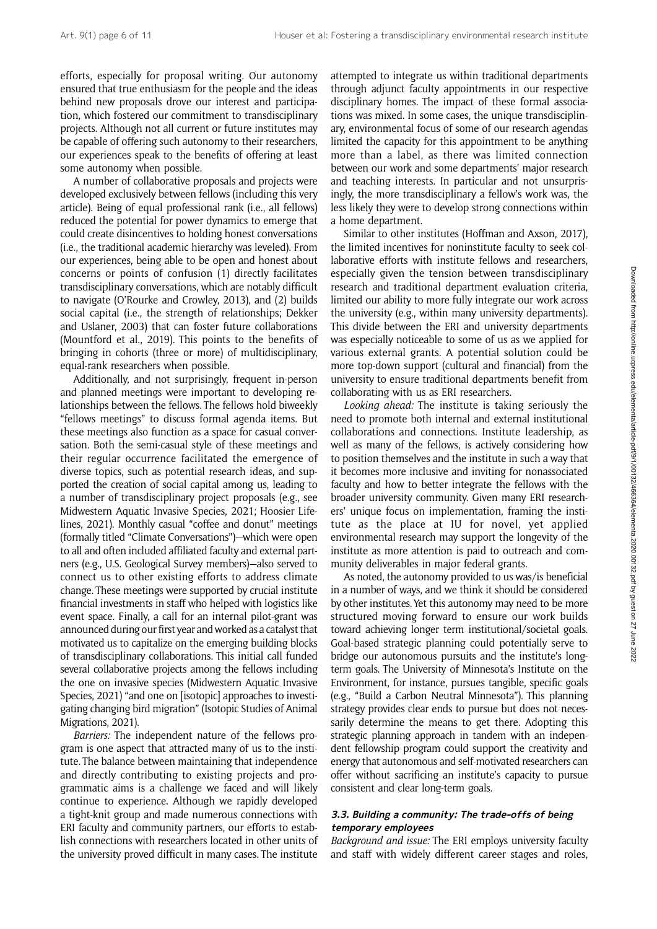efforts, especially for proposal writing. Our autonomy ensured that true enthusiasm for the people and the ideas behind new proposals drove our interest and participation, which fostered our commitment to transdisciplinary projects. Although not all current or future institutes may be capable of offering such autonomy to their researchers, our experiences speak to the benefits of offering at least some autonomy when possible.

A number of collaborative proposals and projects were developed exclusively between fellows (including this very article). Being of equal professional rank (i.e., all fellows) reduced the potential for power dynamics to emerge that could create disincentives to holding honest conversations (i.e., the traditional academic hierarchy was leveled). From our experiences, being able to be open and honest about concerns or points of confusion (1) directly facilitates transdisciplinary conversations, which are notably difficult to navigate (O'Rourke and Crowley, 2013), and (2) builds social capital (i.e., the strength of relationships; Dekker and Uslaner, 2003) that can foster future collaborations (Mountford et al., 2019). This points to the benefits of bringing in cohorts (three or more) of multidisciplinary, equal-rank researchers when possible.

Additionally, and not surprisingly, frequent in-person and planned meetings were important to developing relationships between the fellows. The fellows hold biweekly "fellows meetings" to discuss formal agenda items. But these meetings also function as a space for casual conversation. Both the semi-casual style of these meetings and their regular occurrence facilitated the emergence of diverse topics, such as potential research ideas, and supported the creation of social capital among us, leading to a number of transdisciplinary project proposals (e.g., see Midwestern Aquatic Invasive Species, 2021; Hoosier Lifelines, 2021). Monthly casual "coffee and donut" meetings (formally titled "Climate Conversations")—which were open to all and often included affiliated faculty and external partners (e.g., U.S. Geological Survey members)—also served to connect us to other existing efforts to address climate change. These meetings were supported by crucial institute financial investments in staff who helped with logistics like event space. Finally, a call for an internal pilot-grant was announced during our first year and worked as a catalyst that motivated us to capitalize on the emerging building blocks of transdisciplinary collaborations. This initial call funded several collaborative projects among the fellows including the one on invasive species (Midwestern Aquatic Invasive Species, 2021) "and one on [isotopic] approaches to investigating changing bird migration" (Isotopic Studies of Animal Migrations, 2021).

Barriers: The independent nature of the fellows program is one aspect that attracted many of us to the institute. The balance between maintaining that independence and directly contributing to existing projects and programmatic aims is a challenge we faced and will likely continue to experience. Although we rapidly developed a tight-knit group and made numerous connections with ERI faculty and community partners, our efforts to establish connections with researchers located in other units of the university proved difficult in many cases. The institute attempted to integrate us within traditional departments through adjunct faculty appointments in our respective disciplinary homes. The impact of these formal associations was mixed. In some cases, the unique transdisciplinary, environmental focus of some of our research agendas limited the capacity for this appointment to be anything more than a label, as there was limited connection between our work and some departments' major research and teaching interests. In particular and not unsurprisingly, the more transdisciplinary a fellow's work was, the less likely they were to develop strong connections within a home department.

Similar to other institutes (Hoffman and Axson, 2017), the limited incentives for noninstitute faculty to seek collaborative efforts with institute fellows and researchers, especially given the tension between transdisciplinary research and traditional department evaluation criteria, limited our ability to more fully integrate our work across the university (e.g., within many university departments). This divide between the ERI and university departments was especially noticeable to some of us as we applied for various external grants. A potential solution could be more top-down support (cultural and financial) from the university to ensure traditional departments benefit from collaborating with us as ERI researchers.

Looking ahead: The institute is taking seriously the need to promote both internal and external institutional collaborations and connections. Institute leadership, as well as many of the fellows, is actively considering how to position themselves and the institute in such a way that it becomes more inclusive and inviting for nonassociated faculty and how to better integrate the fellows with the broader university community. Given many ERI researchers' unique focus on implementation, framing the institute as the place at IU for novel, yet applied environmental research may support the longevity of the institute as more attention is paid to outreach and community deliverables in major federal grants.

As noted, the autonomy provided to us was/is beneficial in a number of ways, and we think it should be considered by other institutes. Yet this autonomy may need to be more structured moving forward to ensure our work builds toward achieving longer term institutional/societal goals. Goal-based strategic planning could potentially serve to bridge our autonomous pursuits and the institute's longterm goals. The University of Minnesota's Institute on the Environment, for instance, pursues tangible, specific goals (e.g., "Build a Carbon Neutral Minnesota"). This planning strategy provides clear ends to pursue but does not necessarily determine the means to get there. Adopting this strategic planning approach in tandem with an independent fellowship program could support the creativity and energy that autonomous and self-motivated researchers can offer without sacrificing an institute's capacity to pursue consistent and clear long-term goals.

## 3.3. Building <sup>a</sup> community: The trade-offs of being temporary employees

Background and issue: The ERI employs university faculty and staff with widely different career stages and roles,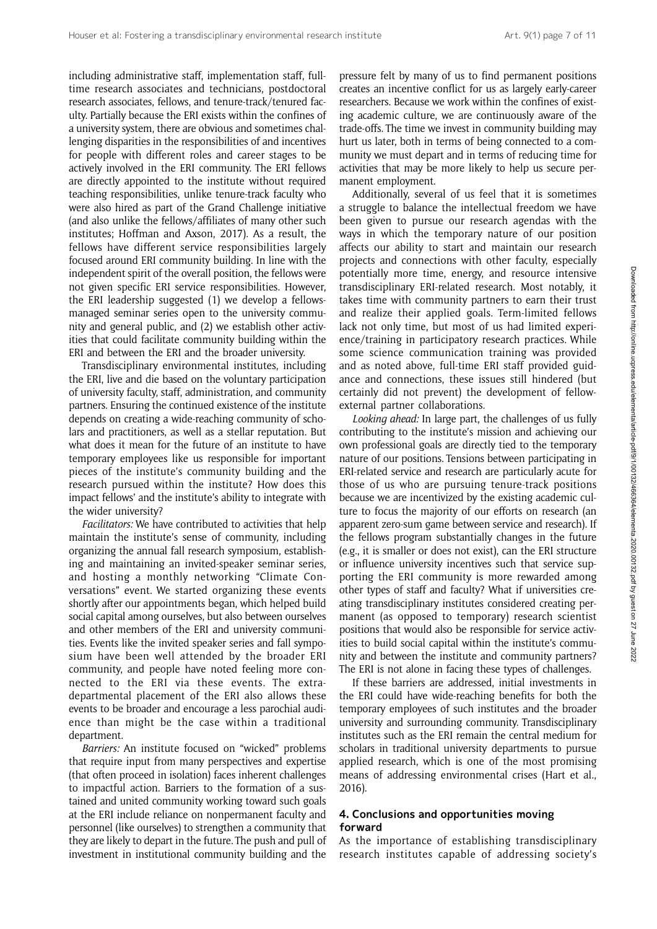including administrative staff, implementation staff, fulltime research associates and technicians, postdoctoral research associates, fellows, and tenure-track/tenured faculty. Partially because the ERI exists within the confines of a university system, there are obvious and sometimes challenging disparities in the responsibilities of and incentives for people with different roles and career stages to be actively involved in the ERI community. The ERI fellows are directly appointed to the institute without required teaching responsibilities, unlike tenure-track faculty who were also hired as part of the Grand Challenge initiative (and also unlike the fellows/affiliates of many other such institutes; Hoffman and Axson, 2017). As a result, the fellows have different service responsibilities largely focused around ERI community building. In line with the independent spirit of the overall position, the fellows were not given specific ERI service responsibilities. However, the ERI leadership suggested (1) we develop a fellowsmanaged seminar series open to the university community and general public, and (2) we establish other activities that could facilitate community building within the ERI and between the ERI and the broader university.

Transdisciplinary environmental institutes, including the ERI, live and die based on the voluntary participation of university faculty, staff, administration, and community partners. Ensuring the continued existence of the institute depends on creating a wide-reaching community of scholars and practitioners, as well as a stellar reputation. But what does it mean for the future of an institute to have temporary employees like us responsible for important pieces of the institute's community building and the research pursued within the institute? How does this impact fellows' and the institute's ability to integrate with the wider university?

Facilitators: We have contributed to activities that help maintain the institute's sense of community, including organizing the annual fall research symposium, establishing and maintaining an invited-speaker seminar series, and hosting a monthly networking "Climate Conversations" event. We started organizing these events shortly after our appointments began, which helped build social capital among ourselves, but also between ourselves and other members of the ERI and university communities. Events like the invited speaker series and fall symposium have been well attended by the broader ERI community, and people have noted feeling more connected to the ERI via these events. The extradepartmental placement of the ERI also allows these events to be broader and encourage a less parochial audience than might be the case within a traditional department.

Barriers: An institute focused on "wicked" problems that require input from many perspectives and expertise (that often proceed in isolation) faces inherent challenges to impactful action. Barriers to the formation of a sustained and united community working toward such goals at the ERI include reliance on nonpermanent faculty and personnel (like ourselves) to strengthen a community that they are likely to depart in the future. The push and pull of investment in institutional community building and the

pressure felt by many of us to find permanent positions creates an incentive conflict for us as largely early-career researchers. Because we work within the confines of existing academic culture, we are continuously aware of the trade-offs. The time we invest in community building may hurt us later, both in terms of being connected to a community we must depart and in terms of reducing time for activities that may be more likely to help us secure permanent employment.

Additionally, several of us feel that it is sometimes a struggle to balance the intellectual freedom we have been given to pursue our research agendas with the ways in which the temporary nature of our position affects our ability to start and maintain our research projects and connections with other faculty, especially potentially more time, energy, and resource intensive transdisciplinary ERI-related research. Most notably, it takes time with community partners to earn their trust and realize their applied goals. Term-limited fellows lack not only time, but most of us had limited experience/training in participatory research practices. While some science communication training was provided and as noted above, full-time ERI staff provided guidance and connections, these issues still hindered (but certainly did not prevent) the development of fellowexternal partner collaborations.

Looking ahead: In large part, the challenges of us fully contributing to the institute's mission and achieving our own professional goals are directly tied to the temporary nature of our positions. Tensions between participating in ERI-related service and research are particularly acute for those of us who are pursuing tenure-track positions because we are incentivized by the existing academic culture to focus the majority of our efforts on research (an apparent zero-sum game between service and research). If the fellows program substantially changes in the future (e.g., it is smaller or does not exist), can the ERI structure or influence university incentives such that service supporting the ERI community is more rewarded among other types of staff and faculty? What if universities creating transdisciplinary institutes considered creating permanent (as opposed to temporary) research scientist positions that would also be responsible for service activities to build social capital within the institute's community and between the institute and community partners? The ERI is not alone in facing these types of challenges.

If these barriers are addressed, initial investments in the ERI could have wide-reaching benefits for both the temporary employees of such institutes and the broader university and surrounding community. Transdisciplinary institutes such as the ERI remain the central medium for scholars in traditional university departments to pursue applied research, which is one of the most promising means of addressing environmental crises (Hart et al., 2016).

## 4. Conclusions and opportunities moving forward

As the importance of establishing transdisciplinary research institutes capable of addressing society's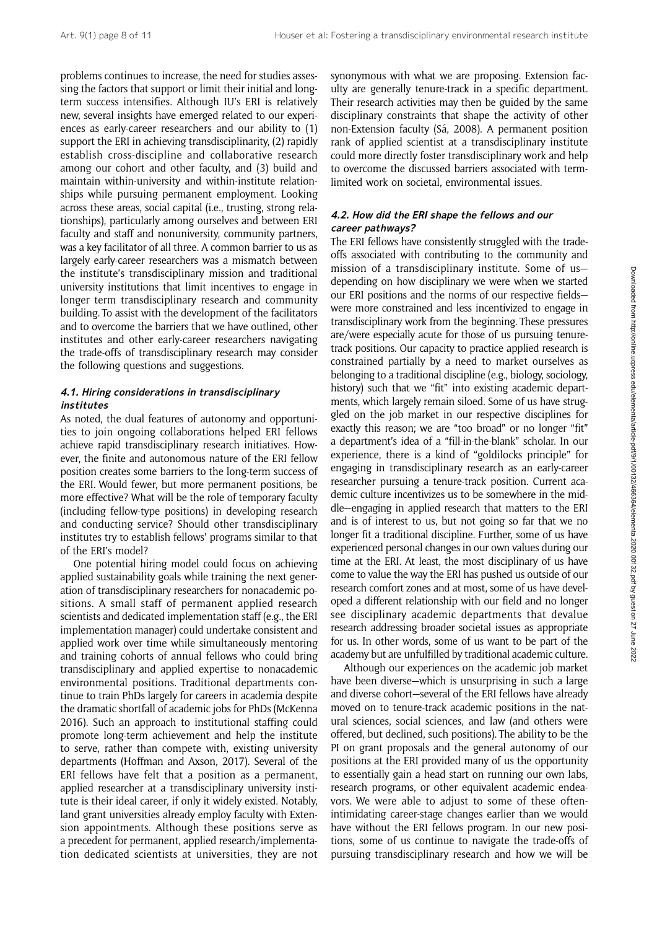problems continues to increase, the need for studies assessing the factors that support or limit their initial and longterm success intensifies. Although IU's ERI is relatively new, several insights have emerged related to our experiences as early-career researchers and our ability to (1) support the ERI in achieving transdisciplinarity, (2) rapidly establish cross-discipline and collaborative research among our cohort and other faculty, and (3) build and maintain within-university and within-institute relationships while pursuing permanent employment. Looking across these areas, social capital (i.e., trusting, strong relationships), particularly among ourselves and between ERI faculty and staff and nonuniversity, community partners, was a key facilitator of all three. A common barrier to us as largely early-career researchers was a mismatch between the institute's transdisciplinary mission and traditional university institutions that limit incentives to engage in longer term transdisciplinary research and community building. To assist with the development of the facilitators and to overcome the barriers that we have outlined, other institutes and other early-career researchers navigating the trade-offs of transdisciplinary research may consider the following questions and suggestions.

#### 4.1. Hiring considerations in transdisciplinary institutes

As noted, the dual features of autonomy and opportunities to join ongoing collaborations helped ERI fellows achieve rapid transdisciplinary research initiatives. However, the finite and autonomous nature of the ERI fellow position creates some barriers to the long-term success of the ERI. Would fewer, but more permanent positions, be more effective? What will be the role of temporary faculty (including fellow-type positions) in developing research and conducting service? Should other transdisciplinary institutes try to establish fellows' programs similar to that of the ERI's model?

One potential hiring model could focus on achieving applied sustainability goals while training the next generation of transdisciplinary researchers for nonacademic positions. A small staff of permanent applied research scientists and dedicated implementation staff (e.g., the ERI implementation manager) could undertake consistent and applied work over time while simultaneously mentoring and training cohorts of annual fellows who could bring transdisciplinary and applied expertise to nonacademic environmental positions. Traditional departments continue to train PhDs largely for careers in academia despite the dramatic shortfall of academic jobs for PhDs (McKenna 2016). Such an approach to institutional staffing could promote long-term achievement and help the institute to serve, rather than compete with, existing university departments (Hoffman and Axson, 2017). Several of the ERI fellows have felt that a position as a permanent, applied researcher at a transdisciplinary university institute is their ideal career, if only it widely existed. Notably, land grant universities already employ faculty with Extension appointments. Although these positions serve as a precedent for permanent, applied research/implementation dedicated scientists at universities, they are not

synonymous with what we are proposing. Extension faculty are generally tenure-track in a specific department. Their research activities may then be guided by the same disciplinary constraints that shape the activity of other non-Extension faculty (Sá, 2008). A permanent position rank of applied scientist at a transdisciplinary institute could more directly foster transdisciplinary work and help to overcome the discussed barriers associated with termlimited work on societal, environmental issues.

#### 4.2. How did the ERI shape the fellows and our career pathways?

The ERI fellows have consistently struggled with the tradeoffs associated with contributing to the community and mission of a transdisciplinary institute. Some of us depending on how disciplinary we were when we started our ERI positions and the norms of our respective fields were more constrained and less incentivized to engage in transdisciplinary work from the beginning. These pressures are/were especially acute for those of us pursuing tenuretrack positions. Our capacity to practice applied research is constrained partially by a need to market ourselves as belonging to a traditional discipline (e.g., biology, sociology, history) such that we "fit" into existing academic departments, which largely remain siloed. Some of us have struggled on the job market in our respective disciplines for exactly this reason; we are "too broad" or no longer "fit" a department's idea of a "fill-in-the-blank" scholar. In our experience, there is a kind of "goldilocks principle" for engaging in transdisciplinary research as an early-career researcher pursuing a tenure-track position. Current academic culture incentivizes us to be somewhere in the middle—engaging in applied research that matters to the ERI and is of interest to us, but not going so far that we no longer fit a traditional discipline. Further, some of us have experienced personal changes in our own values during our time at the ERI. At least, the most disciplinary of us have come to value the way the ERI has pushed us outside of our research comfort zones and at most, some of us have developed a different relationship with our field and no longer see disciplinary academic departments that devalue research addressing broader societal issues as appropriate for us. In other words, some of us want to be part of the academy but are unfulfilled by traditional academic culture.

Although our experiences on the academic job market have been diverse—which is unsurprising in such a large and diverse cohort—several of the ERI fellows have already moved on to tenure-track academic positions in the natural sciences, social sciences, and law (and others were offered, but declined, such positions). The ability to be the PI on grant proposals and the general autonomy of our positions at the ERI provided many of us the opportunity to essentially gain a head start on running our own labs, research programs, or other equivalent academic endeavors. We were able to adjust to some of these oftenintimidating career-stage changes earlier than we would have without the ERI fellows program. In our new positions, some of us continue to navigate the trade-offs of pursuing transdisciplinary research and how we will be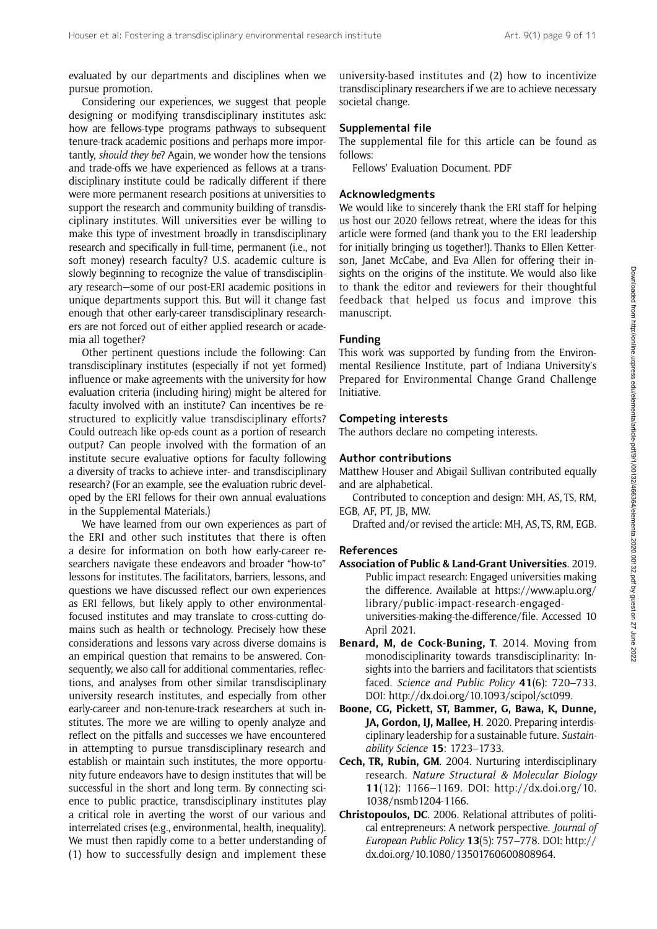evaluated by our departments and disciplines when we pursue promotion.

Considering our experiences, we suggest that people designing or modifying transdisciplinary institutes ask: how are fellows-type programs pathways to subsequent tenure-track academic positions and perhaps more importantly, should they be? Again, we wonder how the tensions and trade-offs we have experienced as fellows at a transdisciplinary institute could be radically different if there were more permanent research positions at universities to support the research and community building of transdisciplinary institutes. Will universities ever be willing to make this type of investment broadly in transdisciplinary research and specifically in full-time, permanent (i.e., not soft money) research faculty? U.S. academic culture is slowly beginning to recognize the value of transdisciplinary research—some of our post-ERI academic positions in unique departments support this. But will it change fast enough that other early-career transdisciplinary researchers are not forced out of either applied research or academia all together?

Other pertinent questions include the following: Can transdisciplinary institutes (especially if not yet formed) influence or make agreements with the university for how evaluation criteria (including hiring) might be altered for faculty involved with an institute? Can incentives be restructured to explicitly value transdisciplinary efforts? Could outreach like op-eds count as a portion of research output? Can people involved with the formation of an institute secure evaluative options for faculty following a diversity of tracks to achieve inter- and transdisciplinary research? (For an example, see the evaluation rubric developed by the ERI fellows for their own annual evaluations in the Supplemental Materials.)

We have learned from our own experiences as part of the ERI and other such institutes that there is often a desire for information on both how early-career researchers navigate these endeavors and broader "how-to" lessons for institutes. The facilitators, barriers, lessons, and questions we have discussed reflect our own experiences as ERI fellows, but likely apply to other environmentalfocused institutes and may translate to cross-cutting domains such as health or technology. Precisely how these considerations and lessons vary across diverse domains is an empirical question that remains to be answered. Consequently, we also call for additional commentaries, reflections, and analyses from other similar transdisciplinary university research institutes, and especially from other early-career and non-tenure-track researchers at such institutes. The more we are willing to openly analyze and reflect on the pitfalls and successes we have encountered in attempting to pursue transdisciplinary research and establish or maintain such institutes, the more opportunity future endeavors have to design institutes that will be successful in the short and long term. By connecting science to public practice, transdisciplinary institutes play a critical role in averting the worst of our various and interrelated crises (e.g., environmental, health, inequality). We must then rapidly come to a better understanding of (1) how to successfully design and implement these

university-based institutes and (2) how to incentivize transdisciplinary researchers if we are to achieve necessary societal change.

#### Supplemental file

The supplemental file for this article can be found as follows:

Fellows' Evaluation Document. PDF

#### Acknowledgments

We would like to sincerely thank the ERI staff for helping us host our 2020 fellows retreat, where the ideas for this article were formed (and thank you to the ERI leadership for initially bringing us together!). Thanks to Ellen Ketterson, Janet McCabe, and Eva Allen for offering their insights on the origins of the institute. We would also like to thank the editor and reviewers for their thoughtful feedback that helped us focus and improve this manuscript.

#### Funding

This work was supported by funding from the Environmental Resilience Institute, part of Indiana University's Prepared for Environmental Change Grand Challenge Initiative.

#### Competing interests

The authors declare no competing interests.

#### Author contributions

Matthew Houser and Abigail Sullivan contributed equally and are alphabetical.

Contributed to conception and design: MH, AS, TS, RM, EGB, AF, PT, JB, MW.

Drafted and/or revised the article: MH, AS, TS, RM, EGB.

#### References

- Association of Public & Land-Grant Universities. 2019. Public impact research: Engaged universities making the difference. Available at [https://www.aplu.org/](https://www.aplu.org/library/public-impact-research-engaged-universities-making-the-difference/file) [library/public-impact-research-engaged](https://www.aplu.org/library/public-impact-research-engaged-universities-making-the-difference/file)[universities-making-the-difference/file.](https://www.aplu.org/library/public-impact-research-engaged-universities-making-the-difference/file) Accessed 10 April 2021.
- Benard, M, de Cock-Buning, T. 2014. Moving from monodisciplinarity towards transdisciplinarity: Insights into the barriers and facilitators that scientists faced. Science and Public Policy 41(6): 720–733. DOI:<http://dx.doi.org/10.1093/scipol/sct099>.
- Boone, CG, Pickett, ST, Bammer, G, Bawa, K, Dunne, JA, Gordon, IJ, Mallee, H. 2020. Preparing interdisciplinary leadership for a sustainable future. Sustainability Science 15: 1723–1733.
- Cech, TR, Rubin, GM. 2004. Nurturing interdisciplinary research. Nature Structural & Molecular Biology 11(12): 1166–1169. DOI: [http://dx.doi.org/10.](http://dx.doi.org/10.1038/nsmb1204-1166) [1038/nsmb1204-1166.](http://dx.doi.org/10.1038/nsmb1204-1166)
- Christopoulos, DC. 2006. Relational attributes of political entrepreneurs: A network perspective. Journal of European Public Policy 13(5): 757–778. DOI: [http://](http://dx.doi.org/10.1080/13501760600808964) [dx.doi.org/10.1080/13501760600808964](http://dx.doi.org/10.1080/13501760600808964).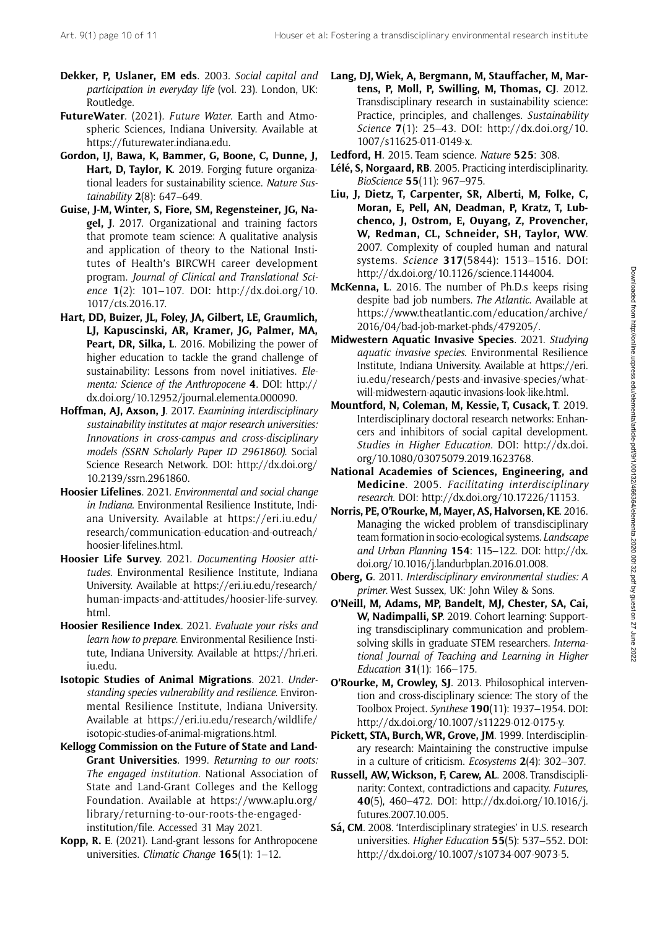- Dekker, P, Uslaner, EM eds. 2003. Social capital and Lang, DJ, Wiek, A, Bergmann, M, Stauffacher, M, Marparticipation in everyday life (vol. 23). London, UK: Routledge.
- FutureWater. (2021). Future Water. Earth and Atmospheric Sciences, Indiana University. Available at [https://futurewater.indiana.edu.](https://futurewater.indiana.edu)
- Gordon, IJ, Bawa, K, Bammer, G, Boone, C, Dunne, J, Hart, D, Taylor, K. 2019. Forging future organizational leaders for sustainability science. Nature Sustainability  $2(8)$ : 647–649.
- Guise, J-M, Winter, S, Fiore, SM, Regensteiner, JG, Nagel, J. 2017. Organizational and training factors that promote team science: A qualitative analysis and application of theory to the National Institutes of Health's BIRCWH career development program. Journal of Clinical and Translational Science 1(2): 101–107. DOI: [http://dx.doi.org/10.](http://dx.doi.org/10.1017/cts.2016.17) [1017/cts.2016.17.](http://dx.doi.org/10.1017/cts.2016.17)
- Hart, DD, Buizer, JL, Foley, JA, Gilbert, LE, Graumlich, LJ, Kapuscinski, AR, Kramer, JG, Palmer, MA, Peart, DR, Silka, L. 2016. Mobilizing the power of higher education to tackle the grand challenge of sustainability: Lessons from novel initiatives. Elementa: Science of the Anthropocene 4. DOI: [http://](http://dx.doi.org/10.12952/journal.elementa.000090) [dx.doi.org/10.12952/journal.elementa.000090.](http://dx.doi.org/10.12952/journal.elementa.000090)
- Hoffman, AJ, Axson, J. 2017. Examining interdisciplinary sustainability institutes at major research universities: Innovations in cross-campus and cross-disciplinary models (SSRN Scholarly Paper ID 2961860). Social Science Research Network. DOI: [http://dx.doi.org/](http://dx.doi.org/10.2139/ssrn.2961860) [10.2139/ssrn.2961860.](http://dx.doi.org/10.2139/ssrn.2961860)
- Hoosier Lifelines. 2021. Environmental and social change in Indiana. Environmental Resilience Institute, Indiana University. Available at [https://eri.iu.edu/](https://eri.iu.edu/research/communication-education-and-outreach/hoosier-lifelines.html) [research/communication-education-and-outreach/](https://eri.iu.edu/research/communication-education-and-outreach/hoosier-lifelines.html) [hoosier-lifelines.html.](https://eri.iu.edu/research/communication-education-and-outreach/hoosier-lifelines.html)
- Hoosier Life Survey. 2021. Documenting Hoosier attitudes. Environmental Resilience Institute, Indiana University. Available at [https://eri.iu.edu/research/](https://eri.iu.edu/research/human-impacts-and-attitudes/hoosier-life-survey.html) [human-impacts-and-attitudes/hoosier-life-survey.](https://eri.iu.edu/research/human-impacts-and-attitudes/hoosier-life-survey.html) [html.](https://eri.iu.edu/research/human-impacts-and-attitudes/hoosier-life-survey.html)
- Hoosier Resilience Index. 2021. Evaluate your risks and learn how to prepare. Environmental Resilience Institute, Indiana University. Available at [https://hri.eri.](https://hri.eri.iu.edu) [iu.edu.](https://hri.eri.iu.edu)
- Isotopic Studies of Animal Migrations. 2021. Understanding species vulnerability and resilience. Environmental Resilience Institute, Indiana University. Available at [https://eri.iu.edu/research/wildlife/](https://eri.iu.edu/research/wildlife/isotopic-studies-of-animal-migrations.html) [isotopic-studies-of-animal-migrations.html.](https://eri.iu.edu/research/wildlife/isotopic-studies-of-animal-migrations.html)
- Kellogg Commission on the Future of State and Land-Grant Universities. 1999. Returning to our roots: The engaged institution. National Association of State and Land-Grant Colleges and the Kellogg Foundation. Available at [https://www.aplu.org/](https://www.aplu.org/library/returning-to-our-roots-the-engaged-institution/file) [library/returning-to-our-roots-the-engaged](https://www.aplu.org/library/returning-to-our-roots-the-engaged-institution/file)[institution/file](https://www.aplu.org/library/returning-to-our-roots-the-engaged-institution/file). Accessed 31 May 2021.
- Kopp, R. E. (2021). Land-grant lessons for Anthropocene universities. Climatic Change 165(1): 1-12.
- tens, P, Moll, P, Swilling, M, Thomas, CJ. 2012. Transdisciplinary research in sustainability science: Practice, principles, and challenges. Sustainability Science 7(1): 25–43. DOI: [http://dx.doi.org/10.](http://dx.doi.org/10.1007/s11625-011-0149-x) [1007/s11625-011-0149-x.](http://dx.doi.org/10.1007/s11625-011-0149-x)
- Ledford, H. 2015. Team science. Nature 525: 308.
- Lélé, S, Norgaard, RB. 2005. Practicing interdisciplinarity. BioScience 55(11): 967–975.
- Liu, J, Dietz, T, Carpenter, SR, Alberti, M, Folke, C, Moran, E, Pell, AN, Deadman, P, Kratz, T, Lubchenco, J, Ostrom, E, Ouyang, Z, Provencher, W, Redman, CL, Schneider, SH, Taylor, WW. 2007. Complexity of coupled human and natural systems. Science 317(5844): 1513–1516. DOI: <http://dx.doi.org/10.1126/science.1144004>.
- McKenna, L. 2016. The number of Ph.D.s keeps rising despite bad job numbers. The Atlantic. Available at [https://www.theatlantic.com/education/archive/](https://www.theatlantic.com/education/archive/2016/04/bad-job-market-phds/479205/) [2016/04/bad-job-market-phds/479205/.](https://www.theatlantic.com/education/archive/2016/04/bad-job-market-phds/479205/)
- Midwestern Aquatic Invasive Species. 2021. Studying aquatic invasive species. Environmental Resilience Institute, Indiana University. Available at [https://eri.](https://eri.iu.edu/research/pests-and-invasive-species/what-will-midwestern-aqautic-invasions-look-like.html) [iu.edu/research/pests-and-invasive-species/what](https://eri.iu.edu/research/pests-and-invasive-species/what-will-midwestern-aqautic-invasions-look-like.html)[will-midwestern-aqautic-invasions-look-like.html](https://eri.iu.edu/research/pests-and-invasive-species/what-will-midwestern-aqautic-invasions-look-like.html).
- Mountford, N, Coleman, M, Kessie, T, Cusack, T. 2019. Interdisciplinary doctoral research networks: Enhancers and inhibitors of social capital development. Studies in Higher Education. DOI: [http://dx.doi.](http://dx.doi.org/10.1080/03075079.2019.1623768) [org/10.1080/03075079.2019.1623768](http://dx.doi.org/10.1080/03075079.2019.1623768).
- National Academies of Sciences, Engineering, and Medicine. 2005. Facilitating interdisciplinary research. DOI: [http://dx.doi.org/10.17226/11153.](http://dx.doi.org/10.17226/11153)
- Norris, PE, O'Rourke, M, Mayer, AS, Halvorsen, KE. 2016. Managing the wicked problem of transdisciplinary team formation in socio-ecological systems. Landscape and Urban Planning 154: 115–122. DOI: [http://dx.](http://dx.doi.org/10.1016/j.landurbplan.2016.01.008) [doi.org/10.1016/j.landurbplan.2016.01.008.](http://dx.doi.org/10.1016/j.landurbplan.2016.01.008)
- Oberg, G. 2011. Interdisciplinary environmental studies: A primer. West Sussex, UK: John Wiley & Sons.
- O'Neill, M, Adams, MP, Bandelt, MJ, Chester, SA, Cai, W, Nadimpalli, SP. 2019. Cohort learning: Supporting transdisciplinary communication and problemsolving skills in graduate STEM researchers. International Journal of Teaching and Learning in Higher Education 31(1): 166–175.
- O'Rourke, M, Crowley, SJ. 2013. Philosophical intervention and cross-disciplinary science: The story of the Toolbox Project. Synthese 190(11): 1937–1954. DOI: [http://dx.doi.org/10.1007/s11229-012-0175-y.](http://dx.doi.org/10.1007/s11229-012-0175-y)
- Pickett, STA, Burch,WR, Grove, JM. 1999. Interdisciplinary research: Maintaining the constructive impulse in a culture of criticism. Ecosystems 2(4): 302–307.
- Russell, AW, Wickson, F, Carew, AL. 2008. Transdisciplinarity: Context, contradictions and capacity. Futures, 40(5), 460–472. DOI: [http://dx.doi.org/10.1016/j.](http://dx.doi.org/10.1016/j.futures.2007.10.005) [futures.2007.10.005](http://dx.doi.org/10.1016/j.futures.2007.10.005).
- Sá, CM. 2008. 'Interdisciplinary strategies' in U.S. research universities. Higher Education 55(5): 537–552. DOI: [http://dx.doi.org/10.1007/s10734-007-9073-5.](http://dx.doi.org/10.1007/s10734-007-9073-5)